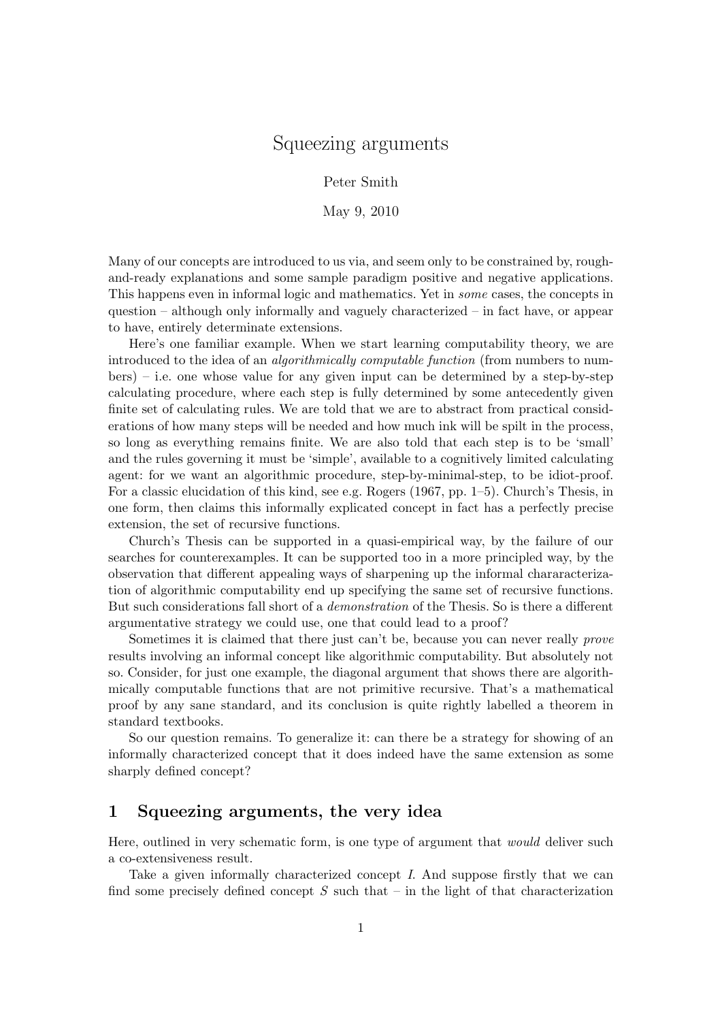# Squeezing arguments

Peter Smith

May 9, 2010

Many of our concepts are introduced to us via, and seem only to be constrained by, roughand-ready explanations and some sample paradigm positive and negative applications. This happens even in informal logic and mathematics. Yet in some cases, the concepts in question – although only informally and vaguely characterized – in fact have, or appear to have, entirely determinate extensions.

Here's one familiar example. When we start learning computability theory, we are introduced to the idea of an *algorithmically computable function* (from numbers to num $bers$ ) – i.e. one whose value for any given input can be determined by a step-by-step calculating procedure, where each step is fully determined by some antecedently given finite set of calculating rules. We are told that we are to abstract from practical considerations of how many steps will be needed and how much ink will be spilt in the process, so long as everything remains finite. We are also told that each step is to be 'small' and the rules governing it must be 'simple', available to a cognitively limited calculating agent: for we want an algorithmic procedure, step-by-minimal-step, to be idiot-proof. For a classic elucidation of this kind, see e.g. Rogers (1967, pp. 1–5). Church's Thesis, in one form, then claims this informally explicated concept in fact has a perfectly precise extension, the set of recursive functions.

Church's Thesis can be supported in a quasi-empirical way, by the failure of our searches for counterexamples. It can be supported too in a more principled way, by the observation that different appealing ways of sharpening up the informal chararacterization of algorithmic computability end up specifying the same set of recursive functions. But such considerations fall short of a demonstration of the Thesis. So is there a different argumentative strategy we could use, one that could lead to a proof?

Sometimes it is claimed that there just can't be, because you can never really prove results involving an informal concept like algorithmic computability. But absolutely not so. Consider, for just one example, the diagonal argument that shows there are algorithmically computable functions that are not primitive recursive. That's a mathematical proof by any sane standard, and its conclusion is quite rightly labelled a theorem in standard textbooks.

So our question remains. To generalize it: can there be a strategy for showing of an informally characterized concept that it does indeed have the same extension as some sharply defined concept?

# 1 Squeezing arguments, the very idea

Here, outlined in very schematic form, is one type of argument that *would* deliver such a co-extensiveness result.

Take a given informally characterized concept I. And suppose firstly that we can find some precisely defined concept  $S$  such that – in the light of that characterization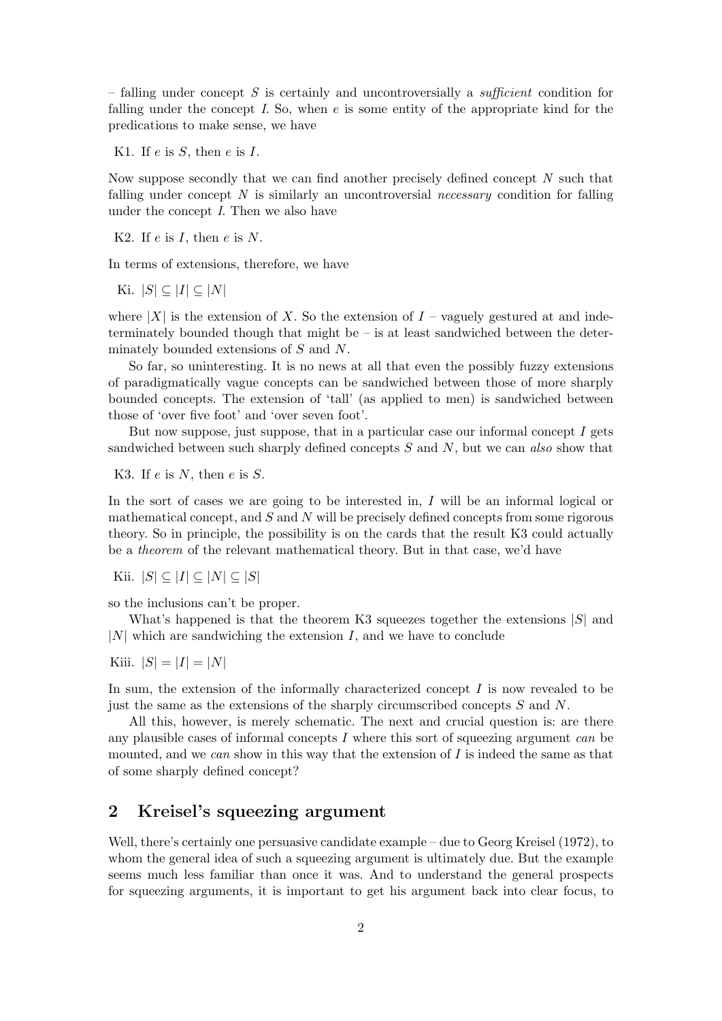– falling under concept  $S$  is certainly and uncontroversially a *sufficient* condition for falling under the concept  $I.$  So, when  $e$  is some entity of the appropriate kind for the predications to make sense, we have

K1. If  $e$  is  $S$ , then  $e$  is  $I$ .

Now suppose secondly that we can find another precisely defined concept  $N$  such that falling under concept N is similarly an uncontroversial *necessary* condition for falling under the concept I. Then we also have

K2. If  $e$  is  $I$ , then  $e$  is  $N$ .

In terms of extensions, therefore, we have

Ki.  $|S| \subseteq |I| \subseteq |N|$ 

where |X| is the extension of X. So the extension of  $I$  – vaguely gestured at and indeterminately bounded though that might be – is at least sandwiched between the determinately bounded extensions of S and N.

So far, so uninteresting. It is no news at all that even the possibly fuzzy extensions of paradigmatically vague concepts can be sandwiched between those of more sharply bounded concepts. The extension of 'tall' (as applied to men) is sandwiched between those of 'over five foot' and 'over seven foot'.

But now suppose, just suppose, that in a particular case our informal concept  $I$  gets sandwiched between such sharply defined concepts  $S$  and  $N$ , but we can also show that

K3. If  $e$  is  $N$ , then  $e$  is  $S$ .

In the sort of cases we are going to be interested in,  $I$  will be an informal logical or mathematical concept, and  $S$  and  $N$  will be precisely defined concepts from some rigorous theory. So in principle, the possibility is on the cards that the result K3 could actually be a theorem of the relevant mathematical theory. But in that case, we'd have

Kii.  $|S| \subseteq |I| \subseteq |N| \subseteq |S|$ 

so the inclusions can't be proper.

What's happened is that the theorem K3 squeezes together the extensions  $|S|$  and  $|N|$  which are sandwiching the extension I, and we have to conclude

Kiii.  $|S| = |I| = |N|$ 

In sum, the extension of the informally characterized concept  $I$  is now revealed to be just the same as the extensions of the sharply circumscribed concepts  $S$  and  $N$ .

All this, however, is merely schematic. The next and crucial question is: are there any plausible cases of informal concepts  $I$  where this sort of squeezing argument can be mounted, and we can show in this way that the extension of  $I$  is indeed the same as that of some sharply defined concept?

## 2 Kreisel's squeezing argument

Well, there's certainly one persuasive candidate example – due to Georg Kreisel (1972), to whom the general idea of such a squeezing argument is ultimately due. But the example seems much less familiar than once it was. And to understand the general prospects for squeezing arguments, it is important to get his argument back into clear focus, to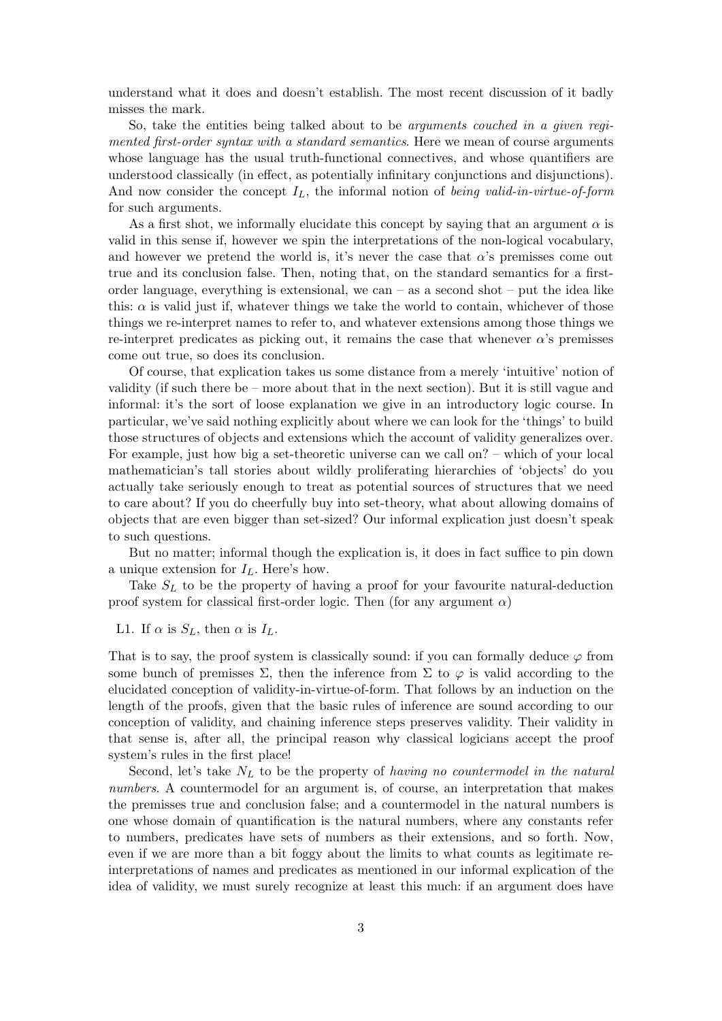understand what it does and doesn't establish. The most recent discussion of it badly misses the mark.

So, take the entities being talked about to be arguments couched in a given regimented first-order syntax with a standard semantics. Here we mean of course arguments whose language has the usual truth-functional connectives, and whose quantifiers are understood classically (in effect, as potentially infinitary conjunctions and disjunctions). And now consider the concept  $I_L$ , the informal notion of being valid-in-virtue-of-form for such arguments.

As a first shot, we informally elucidate this concept by saying that an argument  $\alpha$  is valid in this sense if, however we spin the interpretations of the non-logical vocabulary, and however we pretend the world is, it's never the case that  $\alpha$ 's premisses come out true and its conclusion false. Then, noting that, on the standard semantics for a firstorder language, everything is extensional, we can  $-$  as a second shot  $-$  put the idea like this:  $\alpha$  is valid just if, whatever things we take the world to contain, whichever of those things we re-interpret names to refer to, and whatever extensions among those things we re-interpret predicates as picking out, it remains the case that whenever  $\alpha$ 's premisses come out true, so does its conclusion.

Of course, that explication takes us some distance from a merely 'intuitive' notion of validity (if such there be – more about that in the next section). But it is still vague and informal: it's the sort of loose explanation we give in an introductory logic course. In particular, we've said nothing explicitly about where we can look for the 'things' to build those structures of objects and extensions which the account of validity generalizes over. For example, just how big a set-theoretic universe can we call on? – which of your local mathematician's tall stories about wildly proliferating hierarchies of 'objects' do you actually take seriously enough to treat as potential sources of structures that we need to care about? If you do cheerfully buy into set-theory, what about allowing domains of objects that are even bigger than set-sized? Our informal explication just doesn't speak to such questions.

But no matter; informal though the explication is, it does in fact suffice to pin down a unique extension for  $I_L$ . Here's how.

Take  $S_L$  to be the property of having a proof for your favourite natural-deduction proof system for classical first-order logic. Then (for any argument  $\alpha$ )

L1. If  $\alpha$  is  $S_L$ , then  $\alpha$  is  $I_L$ .

That is to say, the proof system is classically sound: if you can formally deduce  $\varphi$  from some bunch of premisses  $\Sigma$ , then the inference from  $\Sigma$  to  $\varphi$  is valid according to the elucidated conception of validity-in-virtue-of-form. That follows by an induction on the length of the proofs, given that the basic rules of inference are sound according to our conception of validity, and chaining inference steps preserves validity. Their validity in that sense is, after all, the principal reason why classical logicians accept the proof system's rules in the first place!

Second, let's take  $N_L$  to be the property of having no countermodel in the natural numbers. A countermodel for an argument is, of course, an interpretation that makes the premisses true and conclusion false; and a countermodel in the natural numbers is one whose domain of quantification is the natural numbers, where any constants refer to numbers, predicates have sets of numbers as their extensions, and so forth. Now, even if we are more than a bit foggy about the limits to what counts as legitimate reinterpretations of names and predicates as mentioned in our informal explication of the idea of validity, we must surely recognize at least this much: if an argument does have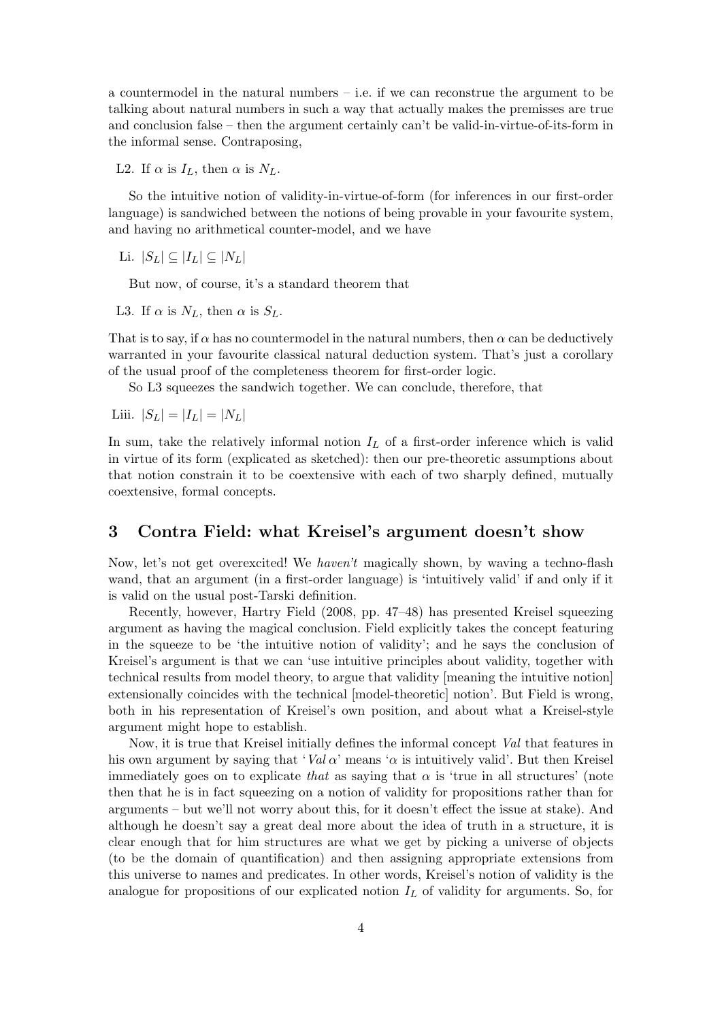a countermodel in the natural numbers – i.e. if we can reconstrue the argument to be talking about natural numbers in such a way that actually makes the premisses are true and conclusion false – then the argument certainly can't be valid-in-virtue-of-its-form in the informal sense. Contraposing,

L2. If  $\alpha$  is  $I_L$ , then  $\alpha$  is  $N_L$ .

So the intuitive notion of validity-in-virtue-of-form (for inferences in our first-order language) is sandwiched between the notions of being provable in your favourite system, and having no arithmetical counter-model, and we have

Li.  $|S_L| \subseteq |I_L| \subseteq |N_L|$ 

But now, of course, it's a standard theorem that

L3. If  $\alpha$  is  $N_L$ , then  $\alpha$  is  $S_L$ .

That is to say, if  $\alpha$  has no countermodel in the natural numbers, then  $\alpha$  can be deductively warranted in your favourite classical natural deduction system. That's just a corollary of the usual proof of the completeness theorem for first-order logic.

So L3 squeezes the sandwich together. We can conclude, therefore, that

Liii.  $|S_L| = |I_L| = |N_L|$ 

In sum, take the relatively informal notion  $I_L$  of a first-order inference which is valid in virtue of its form (explicated as sketched): then our pre-theoretic assumptions about that notion constrain it to be coextensive with each of two sharply defined, mutually coextensive, formal concepts.

#### 3 Contra Field: what Kreisel's argument doesn't show

Now, let's not get overexcited! We haven't magically shown, by waving a techno-flash wand, that an argument (in a first-order language) is 'intuitively valid' if and only if it is valid on the usual post-Tarski definition.

Recently, however, Hartry Field (2008, pp. 47–48) has presented Kreisel squeezing argument as having the magical conclusion. Field explicitly takes the concept featuring in the squeeze to be 'the intuitive notion of validity'; and he says the conclusion of Kreisel's argument is that we can 'use intuitive principles about validity, together with technical results from model theory, to argue that validity [meaning the intuitive notion] extensionally coincides with the technical [model-theoretic] notion'. But Field is wrong, both in his representation of Kreisel's own position, and about what a Kreisel-style argument might hope to establish.

Now, it is true that Kreisel initially defines the informal concept Val that features in his own argument by saying that 'Val  $\alpha$ ' means ' $\alpha$  is intuitively valid'. But then Kreisel immediately goes on to explicate that as saying that  $\alpha$  is 'true in all structures' (note then that he is in fact squeezing on a notion of validity for propositions rather than for arguments – but we'll not worry about this, for it doesn't effect the issue at stake). And although he doesn't say a great deal more about the idea of truth in a structure, it is clear enough that for him structures are what we get by picking a universe of objects (to be the domain of quantification) and then assigning appropriate extensions from this universe to names and predicates. In other words, Kreisel's notion of validity is the analogue for propositions of our explicated notion  $I_L$  of validity for arguments. So, for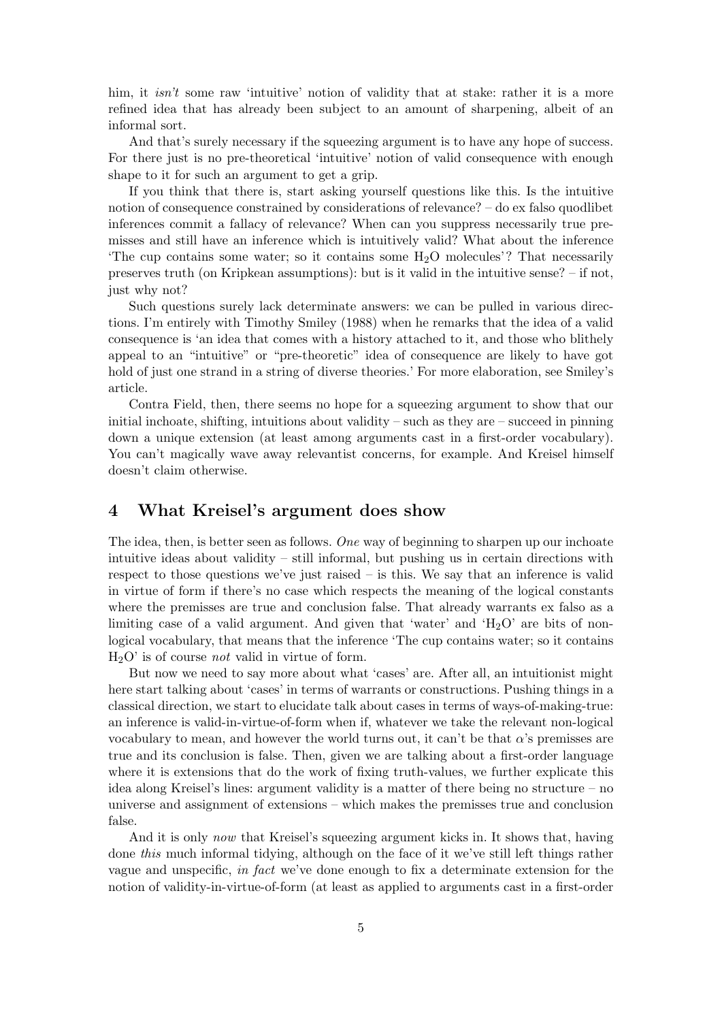him, it *isn't* some raw 'intuitive' notion of validity that at stake: rather it is a more refined idea that has already been subject to an amount of sharpening, albeit of an informal sort.

And that's surely necessary if the squeezing argument is to have any hope of success. For there just is no pre-theoretical 'intuitive' notion of valid consequence with enough shape to it for such an argument to get a grip.

If you think that there is, start asking yourself questions like this. Is the intuitive notion of consequence constrained by considerations of relevance? – do ex falso quodlibet inferences commit a fallacy of relevance? When can you suppress necessarily true premisses and still have an inference which is intuitively valid? What about the inference The cup contains some water; so it contains some  $H_2O$  molecules'? That necessarily preserves truth (on Kripkean assumptions): but is it valid in the intuitive sense? – if not, just why not?

Such questions surely lack determinate answers: we can be pulled in various directions. I'm entirely with Timothy Smiley (1988) when he remarks that the idea of a valid consequence is 'an idea that comes with a history attached to it, and those who blithely appeal to an "intuitive" or "pre-theoretic" idea of consequence are likely to have got hold of just one strand in a string of diverse theories.' For more elaboration, see Smiley's article.

Contra Field, then, there seems no hope for a squeezing argument to show that our initial inchoate, shifting, intuitions about validity – such as they are – succeed in pinning down a unique extension (at least among arguments cast in a first-order vocabulary). You can't magically wave away relevantist concerns, for example. And Kreisel himself doesn't claim otherwise.

# 4 What Kreisel's argument does show

The idea, then, is better seen as follows. One way of beginning to sharpen up our inchoate intuitive ideas about validity – still informal, but pushing us in certain directions with respect to those questions we've just raised  $-$  is this. We say that an inference is valid in virtue of form if there's no case which respects the meaning of the logical constants where the premisses are true and conclusion false. That already warrants ex falso as a limiting case of a valid argument. And given that 'water' and  $H_2O$ ' are bits of nonlogical vocabulary, that means that the inference 'The cup contains water; so it contains  $H<sub>2</sub>O'$  is of course *not* valid in virtue of form.

But now we need to say more about what 'cases' are. After all, an intuitionist might here start talking about 'cases' in terms of warrants or constructions. Pushing things in a classical direction, we start to elucidate talk about cases in terms of ways-of-making-true: an inference is valid-in-virtue-of-form when if, whatever we take the relevant non-logical vocabulary to mean, and however the world turns out, it can't be that  $\alpha$ 's premisses are true and its conclusion is false. Then, given we are talking about a first-order language where it is extensions that do the work of fixing truth-values, we further explicate this idea along Kreisel's lines: argument validity is a matter of there being no structure – no universe and assignment of extensions – which makes the premisses true and conclusion false.

And it is only *now* that Kreisel's squeezing argument kicks in. It shows that, having done this much informal tidying, although on the face of it we've still left things rather vague and unspecific, in fact we've done enough to fix a determinate extension for the notion of validity-in-virtue-of-form (at least as applied to arguments cast in a first-order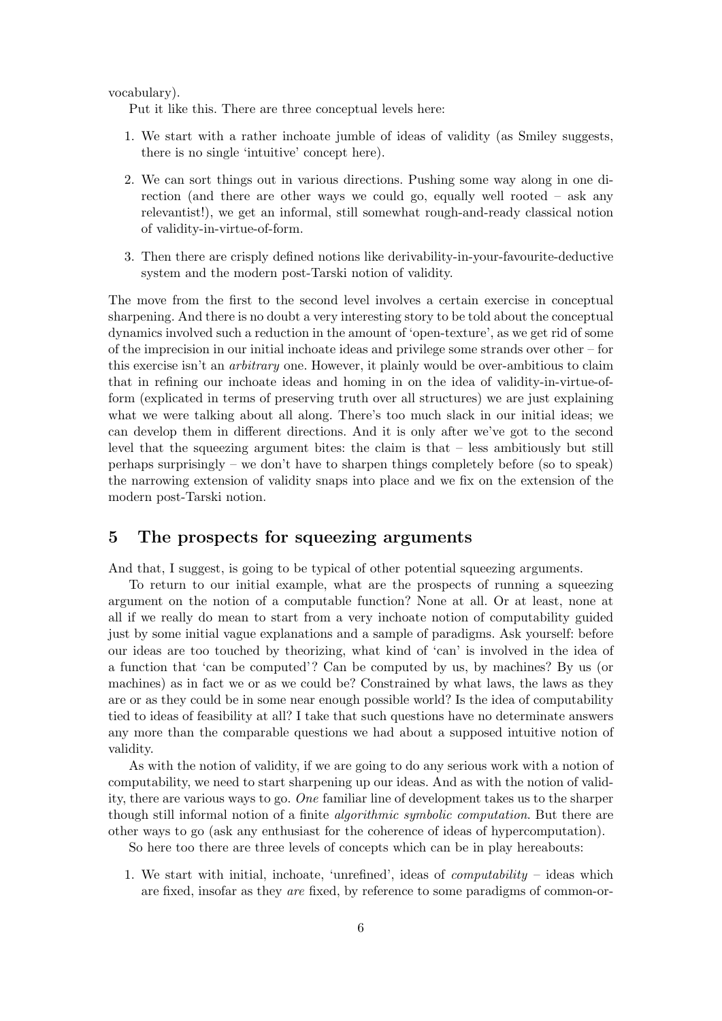vocabulary).

Put it like this. There are three conceptual levels here:

- 1. We start with a rather inchoate jumble of ideas of validity (as Smiley suggests, there is no single 'intuitive' concept here).
- 2. We can sort things out in various directions. Pushing some way along in one direction (and there are other ways we could go, equally well rooted – ask any relevantist!), we get an informal, still somewhat rough-and-ready classical notion of validity-in-virtue-of-form.
- 3. Then there are crisply defined notions like derivability-in-your-favourite-deductive system and the modern post-Tarski notion of validity.

The move from the first to the second level involves a certain exercise in conceptual sharpening. And there is no doubt a very interesting story to be told about the conceptual dynamics involved such a reduction in the amount of 'open-texture', as we get rid of some of the imprecision in our initial inchoate ideas and privilege some strands over other – for this exercise isn't an arbitrary one. However, it plainly would be over-ambitious to claim that in refining our inchoate ideas and homing in on the idea of validity-in-virtue-ofform (explicated in terms of preserving truth over all structures) we are just explaining what we were talking about all along. There's too much slack in our initial ideas; we can develop them in different directions. And it is only after we've got to the second level that the squeezing argument bites: the claim is that  $-$  less ambitiously but still perhaps surprisingly – we don't have to sharpen things completely before (so to speak) the narrowing extension of validity snaps into place and we fix on the extension of the modern post-Tarski notion.

## 5 The prospects for squeezing arguments

And that, I suggest, is going to be typical of other potential squeezing arguments.

To return to our initial example, what are the prospects of running a squeezing argument on the notion of a computable function? None at all. Or at least, none at all if we really do mean to start from a very inchoate notion of computability guided just by some initial vague explanations and a sample of paradigms. Ask yourself: before our ideas are too touched by theorizing, what kind of 'can' is involved in the idea of a function that 'can be computed'? Can be computed by us, by machines? By us (or machines) as in fact we or as we could be? Constrained by what laws, the laws as they are or as they could be in some near enough possible world? Is the idea of computability tied to ideas of feasibility at all? I take that such questions have no determinate answers any more than the comparable questions we had about a supposed intuitive notion of validity.

As with the notion of validity, if we are going to do any serious work with a notion of computability, we need to start sharpening up our ideas. And as with the notion of validity, there are various ways to go. One familiar line of development takes us to the sharper though still informal notion of a finite *algorithmic symbolic computation*. But there are other ways to go (ask any enthusiast for the coherence of ideas of hypercomputation).

So here too there are three levels of concepts which can be in play hereabouts:

1. We start with initial, inchoate, 'unrefined', ideas of *computability* – ideas which are fixed, insofar as they are fixed, by reference to some paradigms of common-or